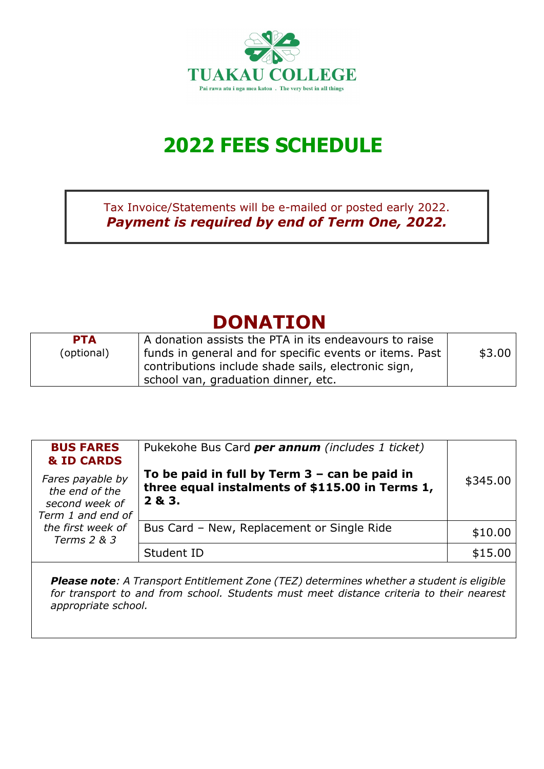

# **2022 FEES SCHEDULE**

Tax Invoice/Statements will be e-mailed or posted early 2022. *Payment is required by end of Term One, 2022.*

## **DONATION**

| <b>PTA</b> | A donation assists the PTA in its endeavours to raise   |        |
|------------|---------------------------------------------------------|--------|
| (optional) | funds in general and for specific events or items. Past | \$3.00 |
|            | contributions include shade sails, electronic sign,     |        |
|            | school van, graduation dinner, etc.                     |        |

| <b>BUS FARES</b><br><b>&amp; ID CARDS</b><br>Fares payable by<br>the end of the<br>second week of<br>Term 1 and end of | Pukekohe Bus Card per annum (includes 1 ticket)<br>To be paid in full by Term $3 -$ can be paid in<br>three equal instalments of \$115.00 in Terms 1,<br>2 & 3. | \$345.00 |
|------------------------------------------------------------------------------------------------------------------------|-----------------------------------------------------------------------------------------------------------------------------------------------------------------|----------|
| the first week of<br>Terms 2 & 3                                                                                       | Bus Card - New, Replacement or Single Ride                                                                                                                      | \$10.00  |
|                                                                                                                        | Student ID                                                                                                                                                      | \$15.00  |

*Please note: A Transport Entitlement Zone (TEZ) determines whether a student is eligible for transport to and from school. Students must meet distance criteria to their nearest appropriate school.*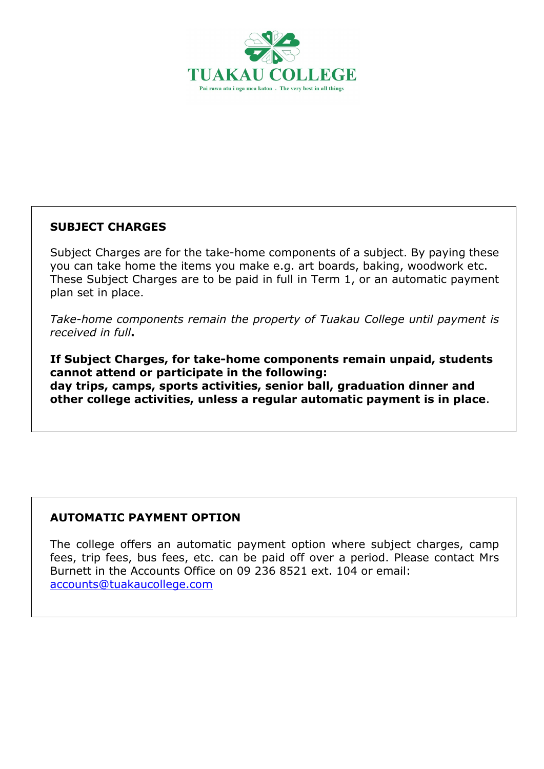

#### **SUBJECT CHARGES**

Subject Charges are for the take-home components of a subject. By paying these you can take home the items you make e.g. art boards, baking, woodwork etc. These Subject Charges are to be paid in full in Term 1, or an automatic payment plan set in place.

*Take-home components remain the property of Tuakau College until payment is received in full***.**

**If Subject Charges, for take-home components remain unpaid, students cannot attend or participate in the following: day trips, camps, sports activities, senior ball, graduation dinner and other college activities, unless a regular automatic payment is in place**.

#### **AUTOMATIC PAYMENT OPTION**

The college offers an automatic payment option where subject charges, camp fees, trip fees, bus fees, etc. can be paid off over a period. Please contact Mrs Burnett in the Accounts Office on 09 236 8521 ext. 104 or email: [accounts@tuakaucollege.com](mailto:accounts@tuakaucollege.com)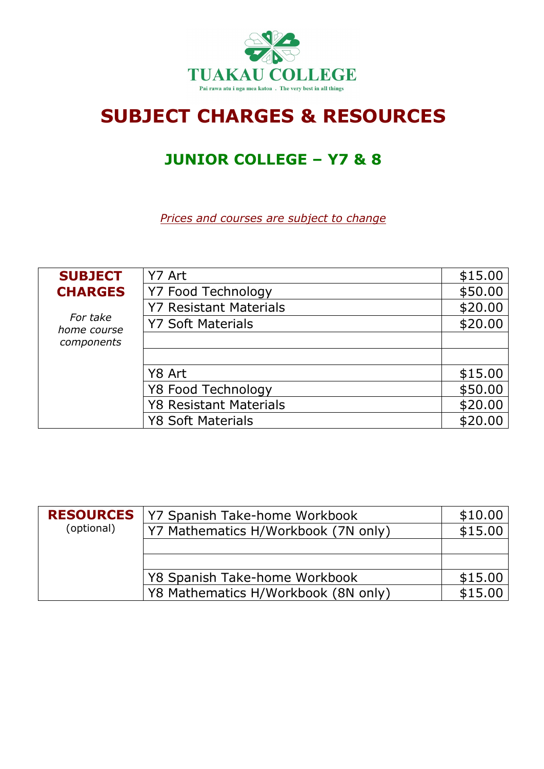

## **SUBJECT CHARGES & RESOURCES**

### **JUNIOR COLLEGE – Y7 & 8**

| <b>SUBJECT</b>          | Y7 Art                        | \$15.00 |
|-------------------------|-------------------------------|---------|
| <b>CHARGES</b>          | <b>Y7 Food Technology</b>     | \$50.00 |
|                         | <b>Y7 Resistant Materials</b> | \$20.00 |
| For take<br>home course | <b>Y7 Soft Materials</b>      | \$20.00 |
| components              |                               |         |
|                         |                               |         |
|                         | Y8 Art                        | \$15.00 |
|                         | Y8 Food Technology            | \$50.00 |
|                         | <b>Y8 Resistant Materials</b> | \$20.00 |
|                         | <b>Y8 Soft Materials</b>      | \$20.00 |

| <b>RESOURCES</b> | Y7 Spanish Take-home Workbook       | \$10.00 |
|------------------|-------------------------------------|---------|
| (optional)       | Y7 Mathematics H/Workbook (7N only) | \$15.00 |
|                  |                                     |         |
|                  |                                     |         |
|                  | Y8 Spanish Take-home Workbook       | \$15.00 |
|                  | Y8 Mathematics H/Workbook (8N only) | \$15.00 |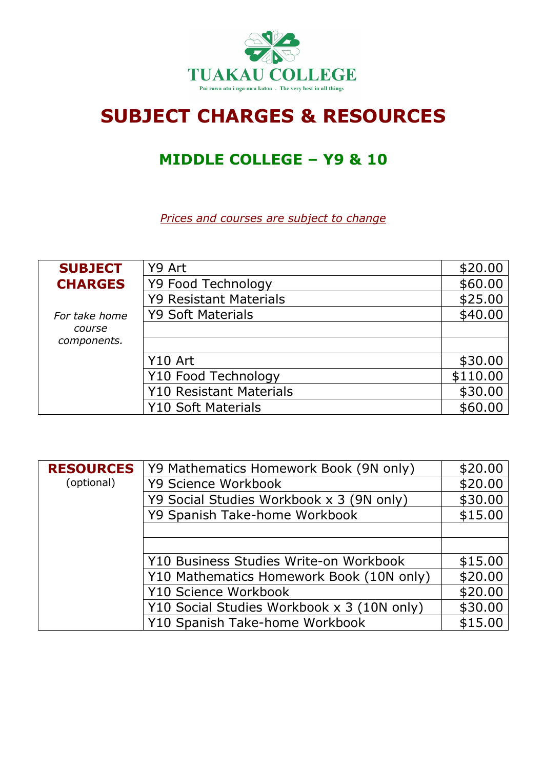

## **SUBJECT CHARGES & RESOURCES**

### **MIDDLE COLLEGE – Y9 & 10**

| <b>SUBJECT</b> | Y9 Art                         | \$20.00  |
|----------------|--------------------------------|----------|
| <b>CHARGES</b> | Y9 Food Technology             | \$60.00  |
|                | <b>Y9 Resistant Materials</b>  | \$25.00  |
| For take home  | <b>Y9 Soft Materials</b>       | \$40.00  |
| course         |                                |          |
| components.    |                                |          |
|                | Y10 Art                        | \$30.00  |
|                | Y10 Food Technology            | \$110.00 |
|                | <b>Y10 Resistant Materials</b> | \$30.00  |
|                | <b>Y10 Soft Materials</b>      | \$60.00  |

| <b>RESOURCES</b> | Y9 Mathematics Homework Book (9N only)     | \$20.00 |
|------------------|--------------------------------------------|---------|
| (optional)       | Y9 Science Workbook                        | \$20.00 |
|                  | Y9 Social Studies Workbook x 3 (9N only)   | \$30.00 |
|                  | Y9 Spanish Take-home Workbook              | \$15.00 |
|                  |                                            |         |
|                  |                                            |         |
|                  | Y10 Business Studies Write-on Workbook     | \$15.00 |
|                  | Y10 Mathematics Homework Book (10N only)   | \$20.00 |
|                  | Y10 Science Workbook                       | \$20.00 |
|                  | Y10 Social Studies Workbook x 3 (10N only) | \$30.00 |
|                  | Y10 Spanish Take-home Workbook             | \$15.00 |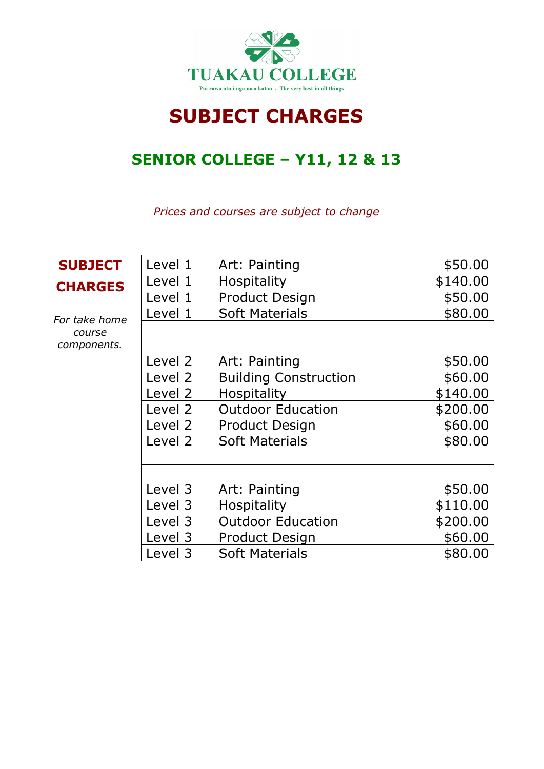

## **SUBJECT CHARGES**

### **SENIOR COLLEGE – Y11, 12 & 13**

| <b>SUBJECT</b> | Level 1 | Art: Painting                | \$50.00  |
|----------------|---------|------------------------------|----------|
| <b>CHARGES</b> | Level 1 | Hospitality                  | \$140.00 |
|                | Level 1 | <b>Product Design</b>        | \$50.00  |
| For take home  | Level 1 | <b>Soft Materials</b>        | \$80.00  |
| course         |         |                              |          |
| components.    |         |                              |          |
|                | Level 2 | Art: Painting                | \$50.00  |
|                | Level 2 | <b>Building Construction</b> | \$60.00  |
|                | Level 2 | Hospitality                  | \$140.00 |
|                | Level 2 | <b>Outdoor Education</b>     | \$200.00 |
|                | Level 2 | <b>Product Design</b>        | \$60.00  |
|                | Level 2 | <b>Soft Materials</b>        | \$80.00  |
|                |         |                              |          |
|                |         |                              |          |
|                | Level 3 | Art: Painting                | \$50.00  |
|                | Level 3 | <b>Hospitality</b>           | \$110.00 |
|                | Level 3 | <b>Outdoor Education</b>     | \$200.00 |
|                | Level 3 | <b>Product Design</b>        | \$60.00  |
|                | Level 3 | <b>Soft Materials</b>        | \$80.00  |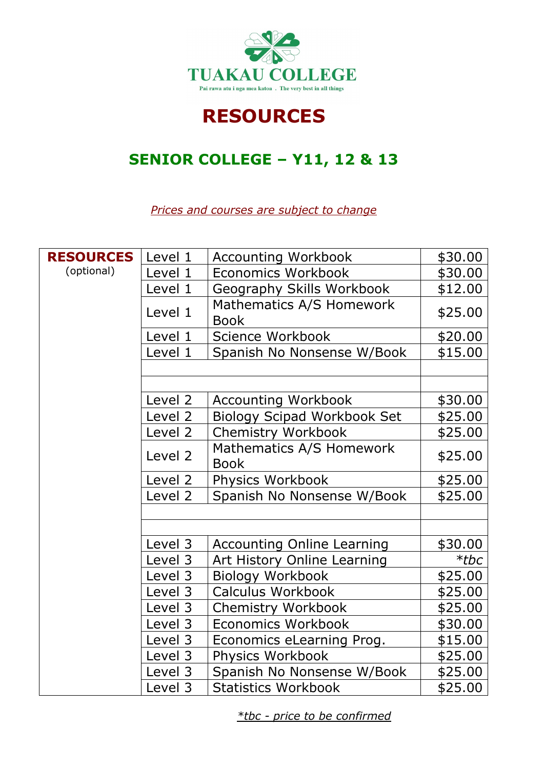

### **RESOURCES**

### **SENIOR COLLEGE – Y11, 12 & 13**

*Prices and courses are subject to change*

| <b>RESOURCES</b> | Level 1 | <b>Accounting Workbook</b>              | \$30.00 |
|------------------|---------|-----------------------------------------|---------|
| (optional)       | Level 1 | <b>Economics Workbook</b>               | \$30.00 |
|                  | Level 1 | Geography Skills Workbook               | \$12.00 |
|                  | Level 1 | Mathematics A/S Homework<br><b>Book</b> | \$25.00 |
|                  | Level 1 | Science Workbook                        | \$20.00 |
|                  | Level 1 | Spanish No Nonsense W/Book              | \$15.00 |
|                  |         |                                         |         |
|                  |         |                                         |         |
|                  | Level 2 | <b>Accounting Workbook</b>              | \$30.00 |
|                  | Level 2 | <b>Biology Scipad Workbook Set</b>      | \$25.00 |
|                  | Level 2 | <b>Chemistry Workbook</b>               | \$25.00 |
|                  | Level 2 | Mathematics A/S Homework<br><b>Book</b> | \$25.00 |
|                  | Level 2 | Physics Workbook                        | \$25.00 |
|                  | Level 2 | Spanish No Nonsense W/Book              | \$25.00 |
|                  |         |                                         |         |
|                  |         |                                         |         |
|                  | Level 3 | <b>Accounting Online Learning</b>       | \$30.00 |
|                  | Level 3 | Art History Online Learning             | $*$ tbc |
|                  | Level 3 | <b>Biology Workbook</b>                 | \$25.00 |
|                  | Level 3 | Calculus Workbook                       | \$25.00 |
|                  | Level 3 | <b>Chemistry Workbook</b>               | \$25.00 |
|                  | Level 3 | <b>Economics Workbook</b>               | \$30.00 |
|                  | Level 3 | Economics eLearning Prog.               | \$15.00 |
|                  | Level 3 | Physics Workbook                        | \$25.00 |
|                  | Level 3 | Spanish No Nonsense W/Book              | \$25.00 |
|                  | Level 3 | <b>Statistics Workbook</b>              | \$25.00 |

*\*tbc - price to be confirmed*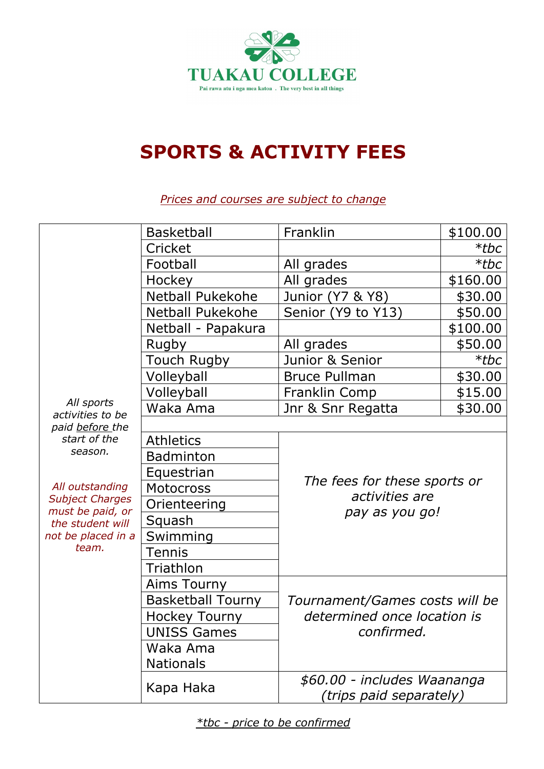

## **SPORTS & ACTIVITY FEES**

|                                            | <b>Basketball</b>                  | Franklin                                               | \$100.00 |  |
|--------------------------------------------|------------------------------------|--------------------------------------------------------|----------|--|
|                                            | Cricket                            |                                                        | $*$ tbc  |  |
|                                            | Football                           | All grades                                             | $*$ tbc  |  |
|                                            | Hockey                             | All grades                                             | \$160.00 |  |
|                                            | <b>Netball Pukekohe</b>            | Junior (Y7 & Y8)                                       | \$30.00  |  |
|                                            | Netball Pukekohe                   | Senior (Y9 to Y13)                                     | \$50.00  |  |
|                                            | Netball - Papakura                 |                                                        | \$100.00 |  |
|                                            | Rugby                              | All grades                                             | \$50.00  |  |
|                                            | Touch Rugby                        | Junior & Senior                                        | $*$ tbc  |  |
|                                            | Volleyball                         | <b>Bruce Pullman</b>                                   | \$30.00  |  |
|                                            | Volleyball                         | Franklin Comp                                          | \$15.00  |  |
| All sports<br>activities to be             | Waka Ama                           | Jnr & Snr Regatta                                      | \$30.00  |  |
| paid before the                            |                                    |                                                        |          |  |
| start of the<br>season.                    | <b>Athletics</b>                   |                                                        |          |  |
|                                            | <b>Badminton</b>                   |                                                        |          |  |
|                                            | Equestrian                         | The fees for these sports or                           |          |  |
| All outstanding                            | <b>Motocross</b><br>activities are |                                                        |          |  |
| <b>Subject Charges</b><br>must be paid, or | Orienteering                       | pay as you go!                                         |          |  |
| the student will                           | Squash                             |                                                        |          |  |
| not be placed in a                         | Swimming                           |                                                        |          |  |
| team.                                      | <b>Tennis</b>                      |                                                        |          |  |
|                                            | Triathlon                          |                                                        |          |  |
|                                            | Aims Tourny                        |                                                        |          |  |
|                                            | <b>Basketball Tourny</b>           | Tournament/Games costs will be                         |          |  |
|                                            | <b>Hockey Tourny</b>               | determined once location is                            |          |  |
|                                            | <b>UNISS Games</b>                 | confirmed.                                             |          |  |
|                                            | Waka Ama                           |                                                        |          |  |
|                                            | <b>Nationals</b>                   |                                                        |          |  |
|                                            | Kapa Haka                          | \$60.00 - includes Waananga<br>(trips paid separately) |          |  |